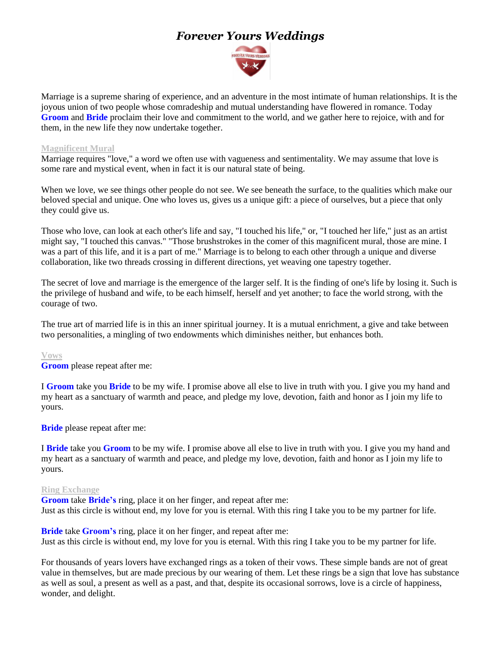# *Forever Yours Weddings*



Marriage is a supreme sharing of experience, and an adventure in the most intimate of human relationships. It is the joyous union of two people whose comradeship and mutual understanding have flowered in romance. Today **Groom** and **Bride** proclaim their love and commitment to the world, and we gather here to rejoice, with and for them, in the new life they now undertake together.

### **Magnificent Mural**

Marriage requires "love," a word we often use with vagueness and sentimentality. We may assume that love is some rare and mystical event, when in fact it is our natural state of being.

When we love, we see things other people do not see. We see beneath the surface, to the qualities which make our beloved special and unique. One who loves us, gives us a unique gift: a piece of ourselves, but a piece that only they could give us.

Those who love, can look at each other's life and say, "I touched his life," or, "I touched her life," just as an artist might say, "I touched this canvas." "Those brushstrokes in the comer of this magnificent mural, those are mine. I was a part of this life, and it is a part of me." Marriage is to belong to each other through a unique and diverse collaboration, like two threads crossing in different directions, yet weaving one tapestry together.

The secret of love and marriage is the emergence of the larger self. It is the finding of one's life by losing it. Such is the privilege of husband and wife, to be each himself, herself and yet another; to face the world strong, with the courage of two.

The true art of married life is in this an inner spiritual journey. It is a mutual enrichment, a give and take between two personalities, a mingling of two endowments which diminishes neither, but enhances both.

#### **Vows**

**Groom** please repeat after me:

I **Groom** take you **Bride** to be my wife. I promise above all else to live in truth with you. I give you my hand and my heart as a sanctuary of warmth and peace, and pledge my love, devotion, faith and honor as I join my life to yours.

**Bride** please repeat after me:

I **Bride** take you **Groom** to be my wife. I promise above all else to live in truth with you. I give you my hand and my heart as a sanctuary of warmth and peace, and pledge my love, devotion, faith and honor as I join my life to yours.

#### **Ring Exchange**

**Groom** take **Bride's** ring, place it on her finger, and repeat after me: Just as this circle is without end, my love for you is eternal. With this ring I take you to be my partner for life.

**Bride** take **Groom's** ring, place it on her finger, and repeat after me: Just as this circle is without end, my love for you is eternal. With this ring I take you to be my partner for life.

For thousands of years lovers have exchanged rings as a token of their vows. These simple bands are not of great value in themselves, but are made precious by our wearing of them. Let these rings be a sign that love has substance as well as soul, a present as well as a past, and that, despite its occasional sorrows, love is a circle of happiness, wonder, and delight.